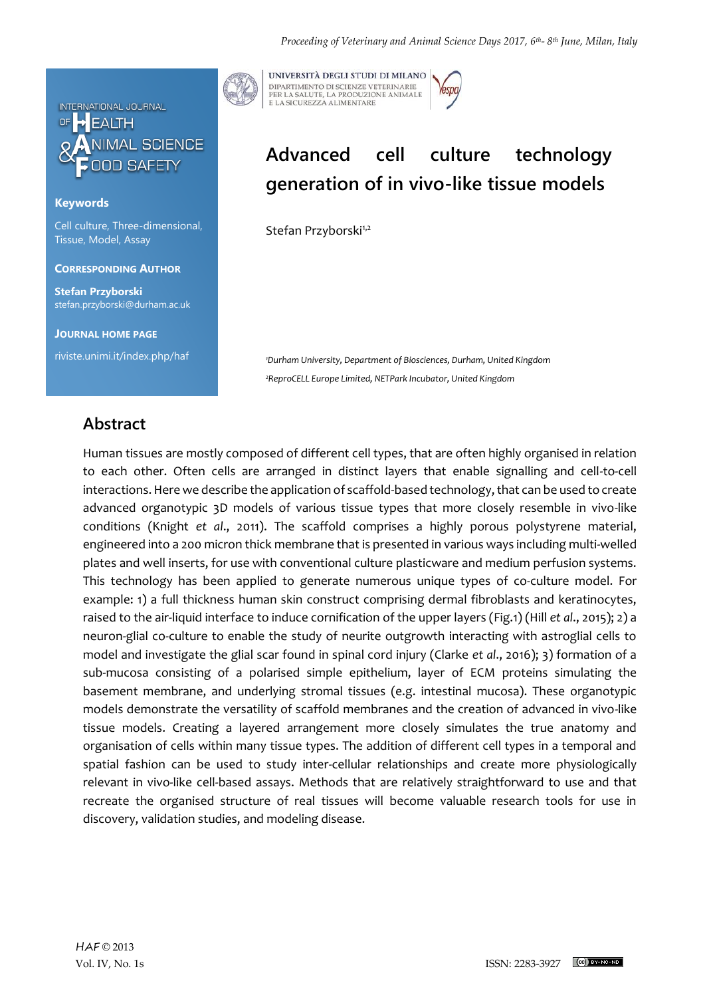

## **Keywords**

Cell culture, Three-dimensional, Tissue, Model, Assay

### **CORRESPONDING AUTHOR**

**Stefan Przyborski** stefan.przyborski@durham.ac.uk

**JOURNAL HOME PAGE**

riviste.unimi.it/index.php/haf

UNIVERSITÀ DEGLI STUDI DI MILANO DIPARTIMENTO DI SCIENZE VETERINARIE PER LA SALUTE, LA PRODUZIONE ANIMALE<br>E LA SICUREZZA ALIMENTARE

# Advanced cell culture technology **generation of in vivo-like tissue models**

Stefan Przyborski<sup>1,2</sup>

*<sup>1</sup>Durham University, Department of Biosciences, Durham, United Kingdom <sup>2</sup>ReproCELL Europe Limited, NETPark Incubator, United Kingdom*

## **Abstract**

Human tissues are mostly composed of different cell types, that are often highly organised in relation to each other. Often cells are arranged in distinct layers that enable signalling and cell-to-cell interactions. Here we describe the application of scaffold-based technology, that can be used to create advanced organotypic 3D models of various tissue types that more closely resemble in vivo-like conditions (Knight *et al*., 2011). The scaffold comprises a highly porous polystyrene material, engineered into a 200 micron thick membrane that is presented in various ways including multi-welled plates and well inserts, for use with conventional culture plasticware and medium perfusion systems. This technology has been applied to generate numerous unique types of co-culture model. For example: 1) a full thickness human skin construct comprising dermal fibroblasts and keratinocytes, raised to the air-liquid interface to induce cornification of the upper layers (Fig.1) (Hill *et al*., 2015); 2) a neuron-glial co-culture to enable the study of neurite outgrowth interacting with astroglial cells to model and investigate the glial scar found in spinal cord injury (Clarke *et al*., 2016); 3) formation of a sub-mucosa consisting of a polarised simple epithelium, layer of ECM proteins simulating the basement membrane, and underlying stromal tissues (e.g. intestinal mucosa). These organotypic models demonstrate the versatility of scaffold membranes and the creation of advanced in vivo-like tissue models. Creating a layered arrangement more closely simulates the true anatomy and organisation of cells within many tissue types. The addition of different cell types in a temporal and spatial fashion can be used to study inter-cellular relationships and create more physiologically relevant in vivo-like cell-based assays. Methods that are relatively straightforward to use and that recreate the organised structure of real tissues will become valuable research tools for use in discovery, validation studies, and modeling disease.